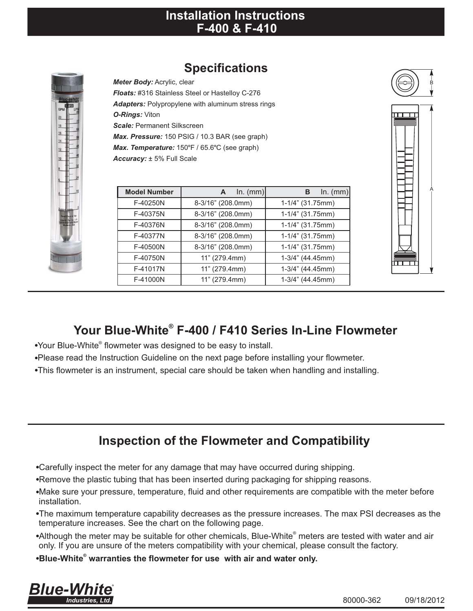#### **Installation Instructions F-400 & F-410**

## **Specifications**

*Meter Body:* Acrylic, clear *Floats:* #316 Stainless Steel or Hastelloy C-276 *Adapters:* Polypropylene with aluminum stress rings *O-Rings:* Viton *Scale:* Permanent Silkscreen *Max. Pressure:* 150 PSIG / 10.3 BAR (see graph) *Max. Temperature:* 150°F / 65.6°C (see graph) *Accuracy:* ± 5% Full Scale

| <b>Model Number</b> | $ln.$ (mm)<br>$\mathsf{A}$ | $In.$ (mm)<br>в  |
|---------------------|----------------------------|------------------|
| F-40250N            | 8-3/16" (208.0mm)          | 1-1/4" (31.75mm) |
| F-40375N            | 8-3/16" (208.0mm)          | 1-1/4" (31.75mm) |
| F-40376N            | 8-3/16" (208.0mm)          | 1-1/4" (31.75mm) |
| F-40377N            | 8-3/16" (208.0mm)          | 1-1/4" (31.75mm) |
| F-40500N            | 8-3/16" (208.0mm)          | 1-1/4" (31.75mm) |
| F-40750N            | 11" (279.4mm)              | 1-3/4" (44.45mm) |
| F-41017N            | 11" (279.4mm)              | 1-3/4" (44.45mm) |
| F-41000N            | 11" (279.4mm)              | 1-3/4" (44.45mm) |
|                     |                            |                  |



# **® Your Blue-White F-400 / F410 Series In-Line Flowmeter**

- •Your Blue-White<sup>®</sup> flowmeter was designed to be easy to install.
- !Please read the Instruction Guideline on the next page before installing your flowmeter.
- !This flowmeter is an instrument, special care should be taken when handling and installing.

## **Inspection of the Flowmeter and Compatibility**

- !Carefully inspect the meter for any damage that may have occurred during shipping.
- . Remove the plastic tubing that has been inserted during packaging for shipping reasons.
- !Make sure your pressure, temperature, fluid and other requirements are compatible with the meter before installation.
- !The maximum temperature capability decreases as the pressure increases. The max PSI decreases as the temperature increases. See the chart on the following page.
- •Although the meter may be suitable for other chemicals, Blue-White<sup>®</sup> meters are tested with water and air only. If you are unsure of the meters compatibility with your chemical, please consult the factory.
- **®** !**Blue-White warranties the flowmeter for use with air and water only.**

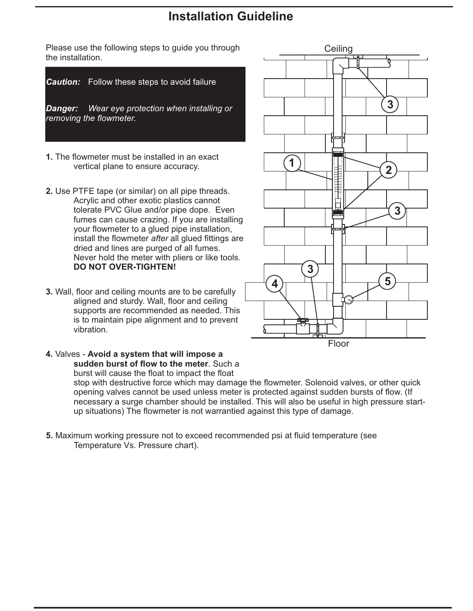## **Installation Guideline**

Please use the following steps to guide you through Theorem Ceiling the installation.



- **1.** The flowmeter must be installed in an exact vertical plane to ensure accuracy.
- **2.** Use PTFE tape (or similar) on all pipe threads. Acrylic and other exotic plastics cannot tolerate PVC Glue and/or pipe dope. Even fumes can cause crazing. If you are installing your flowmeter to a glued pipe installation, install the flowmeter *after* all glued fittings are dried and lines are purged of all fumes. Never hold the meter with pliers or like tools. **DO NOT OVER-TIGHTEN!**
- **3.** Wall, floor and ceiling mounts are to be carefully aligned and sturdy. Wall, floor and ceiling supports are recommended as needed. This is to maintain pipe alignment and to prevent vibration.
- **4.** Valves **Avoid a system that will impose a sudden burst of flow to the meter**. Such a burst will cause the float to impact the float

stop with destructive force which may damage the flowmeter. Solenoid valves, or other quick opening valves cannot be used unless meter is protected against sudden bursts of flow. (If necessary a surge chamber should be installed. This will also be useful in high pressure startup situations) The flowmeter is not warrantied against this type of damage.

**5.** Maximum working pressure not to exceed recommended psi at fluid temperature (see Temperature Vs. Pressure chart).

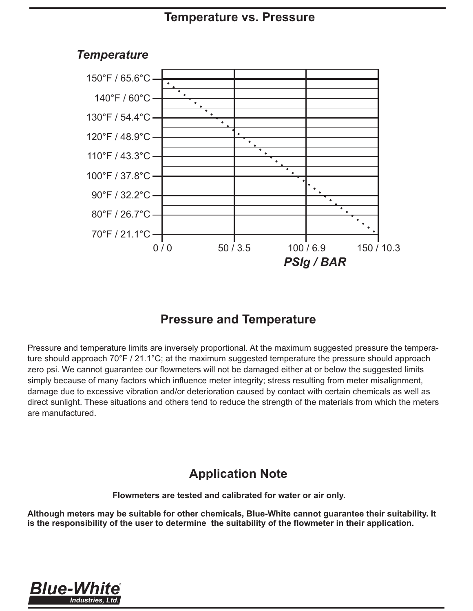#### **Temperature vs. Pressure**



#### *Temperature*

## **Pressure and Temperature**

Pressure and temperature limits are inversely proportional. At the maximum suggested pressure the temperature should approach 70°F / 21.1°C; at the maximum suggested temperature the pressure should approach zero psi. We cannot guarantee our flowmeters will not be damaged either at or below the suggested limits simply because of many factors which influence meter integrity; stress resulting from meter misalignment, damage due to excessive vibration and/or deterioration caused by contact with certain chemicals as well as direct sunlight. These situations and others tend to reduce the strength of the materials from which the meters are manufactured.

## **Application Note**

**Flowmeters are tested and calibrated for water or air only.**

**Although meters may be suitable for other chemicals, Blue-White cannot guarantee their suitability. It is the responsibility of the user to determine the suitability of the flowmeter in their application.**